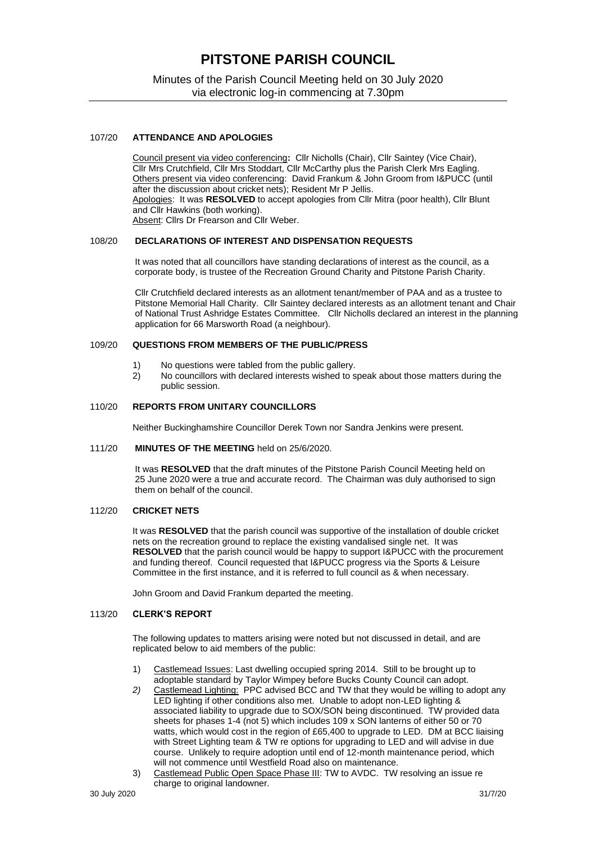# **PITSTONE PARISH COUNCIL**

Minutes of the Parish Council Meeting held on 30 July 2020 via electronic log-in commencing at 7.30pm

## 107/20 **ATTENDANCE AND APOLOGIES**

Council present via video conferencing**:** Cllr Nicholls (Chair), Cllr Saintey (Vice Chair), Cllr Mrs Crutchfield, Cllr Mrs Stoddart, Cllr McCarthy plus the Parish Clerk Mrs Eagling. Others present via video conferencing: David Frankum & John Groom from I&PUCC (until after the discussion about cricket nets); Resident Mr P Jellis. Apologies: It was **RESOLVED** to accept apologies from Cllr Mitra (poor health), Cllr Blunt and Cllr Hawkins (both working). Absent: Cllrs Dr Frearson and Cllr Weber.

#### 108/20 **DECLARATIONS OF INTEREST AND DISPENSATION REQUESTS**

It was noted that all councillors have standing declarations of interest as the council, as a corporate body, is trustee of the Recreation Ground Charity and Pitstone Parish Charity.

Cllr Crutchfield declared interests as an allotment tenant/member of PAA and as a trustee to Pitstone Memorial Hall Charity. Cllr Saintey declared interests as an allotment tenant and Chair of National Trust Ashridge Estates Committee. Cllr Nicholls declared an interest in the planning application for 66 Marsworth Road (a neighbour).

### 109/20 **QUESTIONS FROM MEMBERS OF THE PUBLIC/PRESS**

- 1) No questions were tabled from the public gallery.
- 2) No councillors with declared interests wished to speak about those matters during the public session.

## 110/20 **REPORTS FROM UNITARY COUNCILLORS**

Neither Buckinghamshire Councillor Derek Town nor Sandra Jenkins were present.

## 111/20 **MINUTES OF THE MEETING** held on 25/6/2020.

It was **RESOLVED** that the draft minutes of the Pitstone Parish Council Meeting held on 25 June 2020 were a true and accurate record. The Chairman was duly authorised to sign them on behalf of the council.

# 112/20 **CRICKET NETS**

It was **RESOLVED** that the parish council was supportive of the installation of double cricket nets on the recreation ground to replace the existing vandalised single net. It was **RESOLVED** that the parish council would be happy to support I&PUCC with the procurement and funding thereof. Council requested that I&PUCC progress via the Sports & Leisure Committee in the first instance, and it is referred to full council as & when necessary.

John Groom and David Frankum departed the meeting.

## 113/20 **CLERK'S REPORT**

The following updates to matters arising were noted but not discussed in detail, and are replicated below to aid members of the public:

- 1) Castlemead Issues: Last dwelling occupied spring 2014. Still to be brought up to adoptable standard by Taylor Wimpey before Bucks County Council can adopt.
- *2)* Castlemead Lighting: PPC advised BCC and TW that they would be willing to adopt any LED lighting if other conditions also met. Unable to adopt non-LED lighting & associated liability to upgrade due to SOX/SON being discontinued. TW provided data sheets for phases 1-4 (not 5) which includes 109 x SON lanterns of either 50 or 70 watts, which would cost in the region of £65,400 to upgrade to LED. DM at BCC liaising with Street Lighting team & TW re options for upgrading to LED and will advise in due course. Unlikely to require adoption until end of 12-month maintenance period, which will not commence until Westfield Road also on maintenance.
- 3) Castlemead Public Open Space Phase III: TW to AVDC. TW resolving an issue re charge to original landowner.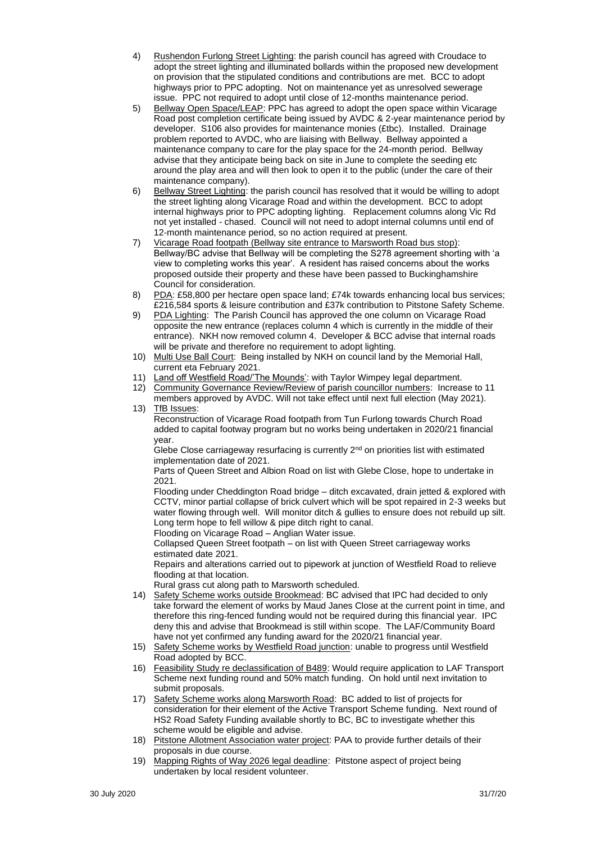- 4) Rushendon Furlong Street Lighting: the parish council has agreed with Croudace to adopt the street lighting and illuminated bollards within the proposed new development on provision that the stipulated conditions and contributions are met. BCC to adopt highways prior to PPC adopting. Not on maintenance yet as unresolved sewerage issue. PPC not required to adopt until close of 12-months maintenance period.
- 5) Bellway Open Space/LEAP: PPC has agreed to adopt the open space within Vicarage Road post completion certificate being issued by AVDC & 2-year maintenance period by developer. S106 also provides for maintenance monies (£tbc). Installed. Drainage problem reported to AVDC, who are liaising with Bellway. Bellway appointed a maintenance company to care for the play space for the 24-month period. Bellway advise that they anticipate being back on site in June to complete the seeding etc around the play area and will then look to open it to the public (under the care of their maintenance company).
- 6) Bellway Street Lighting: the parish council has resolved that it would be willing to adopt the street lighting along Vicarage Road and within the development. BCC to adopt internal highways prior to PPC adopting lighting. Replacement columns along Vic Rd not yet installed - chased. Council will not need to adopt internal columns until end of 12-month maintenance period, so no action required at present.
- 7) Vicarage Road footpath (Bellway site entrance to Marsworth Road bus stop): Bellway/BC advise that Bellway will be completing the S278 agreement shorting with 'a view to completing works this year'. A resident has raised concerns about the works proposed outside their property and these have been passed to Buckinghamshire Council for consideration.
- 8) PDA: £58,800 per hectare open space land; £74k towards enhancing local bus services; £216,584 sports & leisure contribution and £37k contribution to Pitstone Safety Scheme.
- 9) PDA Lighting: The Parish Council has approved the one column on Vicarage Road opposite the new entrance (replaces column 4 which is currently in the middle of their entrance). NKH now removed column 4. Developer & BCC advise that internal roads will be private and therefore no requirement to adopt lighting.
- 10) Multi Use Ball Court: Being installed by NKH on council land by the Memorial Hall, current eta February 2021.
- 11) Land off Westfield Road/'The Mounds': with Taylor Wimpey legal department.
- 12) Community Governance Review/Review of parish councillor numbers: Increase to 11 members approved by AVDC. Will not take effect until next full election (May 2021). 13) TfB Issues:

Reconstruction of Vicarage Road footpath from Tun Furlong towards Church Road added to capital footway program but no works being undertaken in 2020/21 financial year.

Glebe Close carriageway resurfacing is currently  $2<sup>nd</sup>$  on priorities list with estimated implementation date of 2021.

Parts of Queen Street and Albion Road on list with Glebe Close, hope to undertake in 2021.

Flooding under Cheddington Road bridge – ditch excavated, drain jetted & explored with CCTV, minor partial collapse of brick culvert which will be spot repaired in 2-3 weeks but water flowing through well. Will monitor ditch & gullies to ensure does not rebuild up silt. Long term hope to fell willow & pipe ditch right to canal.

Flooding on Vicarage Road – Anglian Water issue.

Collapsed Queen Street footpath – on list with Queen Street carriageway works estimated date 2021.

Repairs and alterations carried out to pipework at junction of Westfield Road to relieve flooding at that location.

Rural grass cut along path to Marsworth scheduled.

- 14) Safety Scheme works outside Brookmead: BC advised that IPC had decided to only take forward the element of works by Maud Janes Close at the current point in time, and therefore this ring-fenced funding would not be required during this financial year. IPC deny this and advise that Brookmead is still within scope. The LAF/Community Board have not yet confirmed any funding award for the 2020/21 financial year.
- 15) Safety Scheme works by Westfield Road junction: unable to progress until Westfield Road adopted by BCC.
- 16) Feasibility Study re declassification of B489: Would require application to LAF Transport Scheme next funding round and 50% match funding. On hold until next invitation to submit proposals.
- 17) Safety Scheme works along Marsworth Road: BC added to list of projects for consideration for their element of the Active Transport Scheme funding. Next round of HS2 Road Safety Funding available shortly to BC, BC to investigate whether this scheme would be eligible and advise.
- 18) Pitstone Allotment Association water project: PAA to provide further details of their proposals in due course.
- 19) Mapping Rights of Way 2026 legal deadline: Pitstone aspect of project being undertaken by local resident volunteer.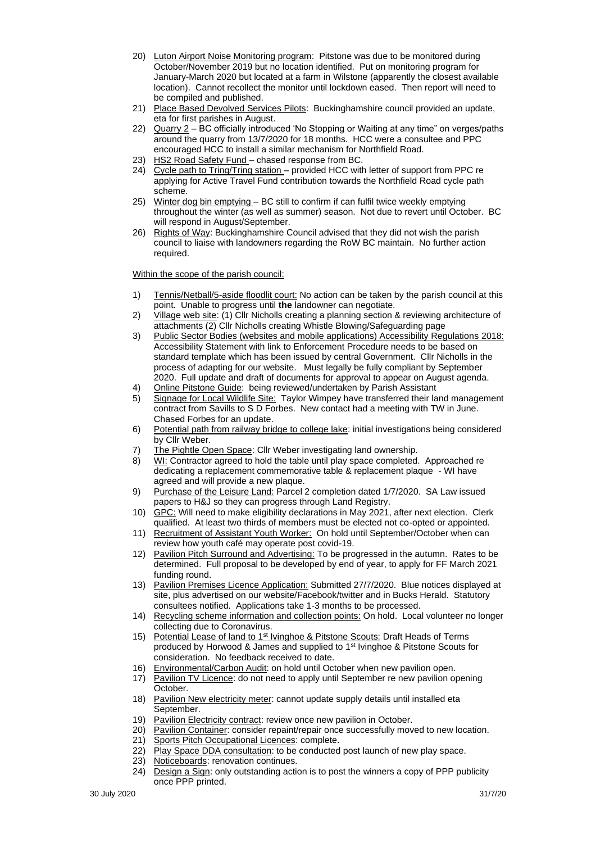- 20) Luton Airport Noise Monitoring program: Pitstone was due to be monitored during October/November 2019 but no location identified. Put on monitoring program for January-March 2020 but located at a farm in Wilstone (apparently the closest available location). Cannot recollect the monitor until lockdown eased. Then report will need to be compiled and published.
- 21) Place Based Devolved Services Pilots: Buckinghamshire council provided an update, eta for first parishes in August.
- 22) Quarry 2 BC officially introduced 'No Stopping or Waiting at any time" on verges/paths around the quarry from 13/7/2020 for 18 months. HCC were a consultee and PPC encouraged HCC to install a similar mechanism for Northfield Road.
- 23) HS2 Road Safety Fund chased response from BC.
- 24) Cycle path to Tring/Tring station provided HCC with letter of support from PPC re applying for Active Travel Fund contribution towards the Northfield Road cycle path scheme.
- 25) Winter dog bin emptying BC still to confirm if can fulfil twice weekly emptying throughout the winter (as well as summer) season. Not due to revert until October. BC will respond in August/September.
- 26) Rights of Way: Buckinghamshire Council advised that they did not wish the parish council to liaise with landowners regarding the RoW BC maintain. No further action required.

Within the scope of the parish council:

- 1) Tennis/Netball/5-aside floodlit court: No action can be taken by the parish council at this point. Unable to progress until **the** landowner can negotiate.
- 2) Village web site: (1) Cllr Nicholls creating a planning section & reviewing architecture of attachments (2) Cllr Nicholls creating Whistle Blowing/Safeguarding page
- 3) Public Sector Bodies (websites and mobile applications) Accessibility Regulations 2018: Accessibility Statement with link to Enforcement Procedure needs to be based on standard template which has been issued by central Government. Cllr Nicholls in the process of adapting for our website. Must legally be fully compliant by September 2020. Full update and draft of documents for approval to appear on August agenda.
- 4) Online Pitstone Guide: being reviewed/undertaken by Parish Assistant
- 5) Signage for Local Wildlife Site: Taylor Wimpey have transferred their land management contract from Savills to S D Forbes. New contact had a meeting with TW in June. Chased Forbes for an update.
- 6) Potential path from railway bridge to college lake: initial investigations being considered by Cllr Weber.
- 7) The Pightle Open Space: Cllr Weber investigating land ownership.
- 8) WI: Contractor agreed to hold the table until play space completed. Approached re dedicating a replacement commemorative table & replacement plaque - WI have agreed and will provide a new plaque.
- 9) Purchase of the Leisure Land: Parcel 2 completion dated 1/7/2020. SA Law issued papers to H&J so they can progress through Land Registry.
- 10) GPC: Will need to make eligibility declarations in May 2021, after next election. Clerk qualified. At least two thirds of members must be elected not co-opted or appointed.
- 11) Recruitment of Assistant Youth Worker: On hold until September/October when can review how youth café may operate post covid-19.
- 12) Pavilion Pitch Surround and Advertising: To be progressed in the autumn. Rates to be determined. Full proposal to be developed by end of year, to apply for FF March 2021 funding round.
- 13) Pavilion Premises Licence Application: Submitted 27/7/2020. Blue notices displayed at site, plus advertised on our website/Facebook/twitter and in Bucks Herald. Statutory consultees notified. Applications take 1-3 months to be processed.
- 14) Recycling scheme information and collection points: On hold. Local volunteer no longer collecting due to Coronavirus.
- 15) Potential Lease of land to 1<sup>st</sup> Ivinghoe & Pitstone Scouts: Draft Heads of Terms produced by Horwood & James and supplied to 1st Ivinghoe & Pitstone Scouts for consideration. No feedback received to date.
- 16) Environmental/Carbon Audit: on hold until October when new pavilion open.
- 17) Pavilion TV Licence: do not need to apply until September re new pavilion opening October.
- 18) Pavilion New electricity meter: cannot update supply details until installed eta September.
- 19) Pavilion Electricity contract: review once new pavilion in October.
- 20) Pavilion Container: consider repaint/repair once successfully moved to new location.
- 21) Sports Pitch Occupational Licences: complete.
- 22) Play Space DDA consultation: to be conducted post launch of new play space.
- 23) Noticeboards: renovation continues.
- 24) Design a Sign: only outstanding action is to post the winners a copy of PPP publicity once PPP printed.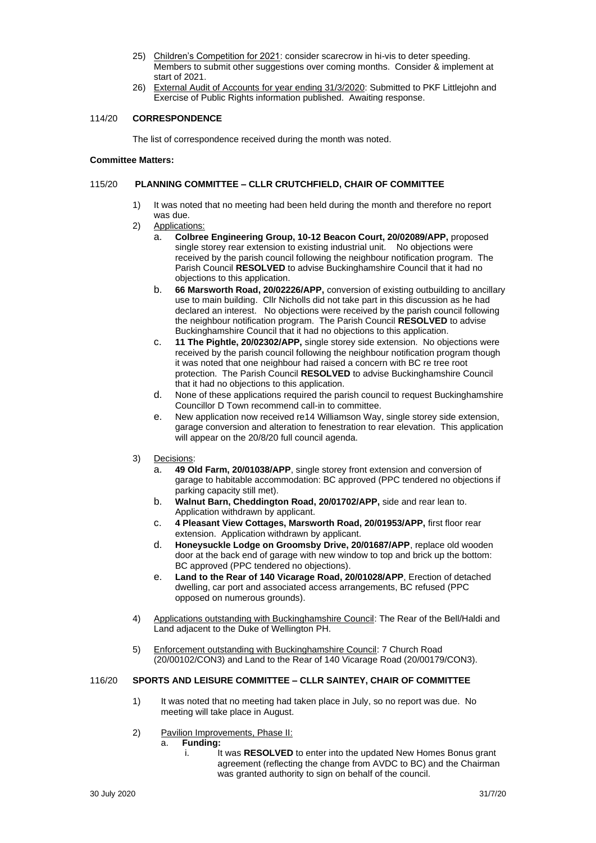- 25) Children's Competition for 2021: consider scarecrow in hi-vis to deter speeding. Members to submit other suggestions over coming months. Consider & implement at start of 2021.
- 26) External Audit of Accounts for year ending 31/3/2020: Submitted to PKF Littlejohn and Exercise of Public Rights information published. Awaiting response.

## 114/20 **CORRESPONDENCE**

The list of correspondence received during the month was noted.

#### **Committee Matters:**

#### 115/20 **PLANNING COMMITTEE – CLLR CRUTCHFIELD, CHAIR OF COMMITTEE**

- 1) It was noted that no meeting had been held during the month and therefore no report was due.
- 2) Applications:
	- a. **Colbree Engineering Group, 10-12 Beacon Court, 20/02089/APP,** proposed single storey rear extension to existing industrial unit. No objections were received by the parish council following the neighbour notification program. The Parish Council **RESOLVED** to advise Buckinghamshire Council that it had no objections to this application.
	- b. **66 Marsworth Road, 20/02226/APP,** conversion of existing outbuilding to ancillary use to main building. Cllr Nicholls did not take part in this discussion as he had declared an interest. No objections were received by the parish council following the neighbour notification program. The Parish Council **RESOLVED** to advise Buckinghamshire Council that it had no objections to this application.
	- c. **11 The Pightle, 20/02302/APP,** single storey side extension. No objections were received by the parish council following the neighbour notification program though it was noted that one neighbour had raised a concern with BC re tree root protection. The Parish Council **RESOLVED** to advise Buckinghamshire Council that it had no objections to this application.
	- d. None of these applications required the parish council to request Buckinghamshire Councillor D Town recommend call-in to committee.
	- e. New application now received re14 Williamson Way, single storey side extension, garage conversion and alteration to fenestration to rear elevation. This application will appear on the 20/8/20 full council agenda.
- 3) Decisions:
	- a. **49 Old Farm, 20/01038/APP**, single storey front extension and conversion of garage to habitable accommodation: BC approved (PPC tendered no objections if parking capacity still met).
	- b. **Walnut Barn, Cheddington Road, 20/01702/APP,** side and rear lean to. Application withdrawn by applicant.
	- c. **4 Pleasant View Cottages, Marsworth Road, 20/01953/APP,** first floor rear extension. Application withdrawn by applicant.
	- d. **Honeysuckle Lodge on Groomsby Drive, 20/01687/APP**, replace old wooden door at the back end of garage with new window to top and brick up the bottom: BC approved (PPC tendered no objections).
	- e. **Land to the Rear of 140 Vicarage Road, 20/01028/APP**, Erection of detached dwelling, car port and associated access arrangements, BC refused (PPC opposed on numerous grounds).
- 4) Applications outstanding with Buckinghamshire Council: The Rear of the Bell/Haldi and Land adjacent to the Duke of Wellington PH.
- 5) Enforcement outstanding with Buckinghamshire Council: 7 Church Road (20/00102/CON3) and Land to the Rear of 140 Vicarage Road (20/00179/CON3).

#### 116/20 **SPORTS AND LEISURE COMMITTEE – CLLR SAINTEY, CHAIR OF COMMITTEE**

- 1) It was noted that no meeting had taken place in July, so no report was due. No meeting will take place in August.
- 2) Pavilion Improvements, Phase II:
	- a. **Funding:**
		- i. It was **RESOLVED** to enter into the updated New Homes Bonus grant agreement (reflecting the change from AVDC to BC) and the Chairman was granted authority to sign on behalf of the council.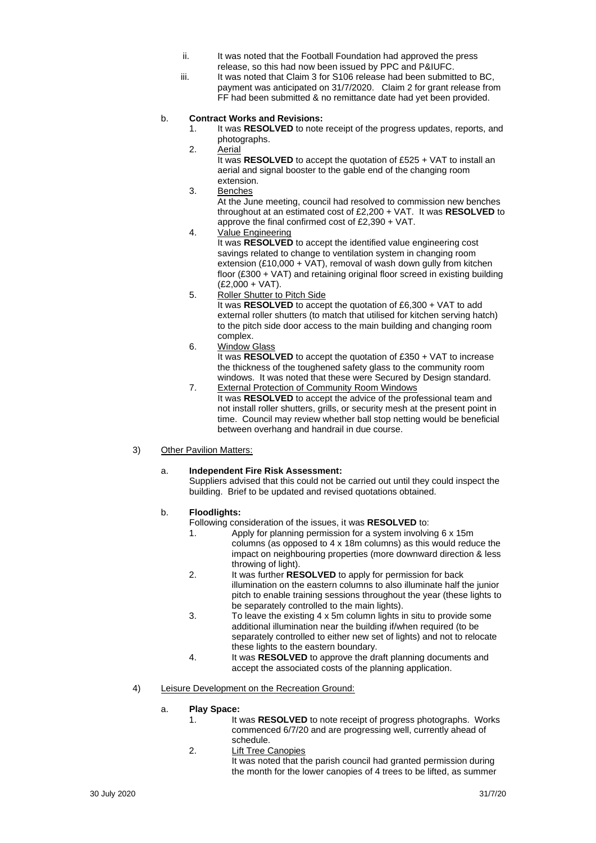- ii. It was noted that the Football Foundation had approved the press release, so this had now been issued by PPC and P&IUFC.
- iii. It was noted that Claim 3 for S106 release had been submitted to BC, payment was anticipated on 31/7/2020. Claim 2 for grant release from FF had been submitted & no remittance date had yet been provided.

# b. **Contract Works and Revisions:**

- 1. It was **RESOLVED** to note receipt of the progress updates, reports, and photographs.
- 2. Aerial

It was **RESOLVED** to accept the quotation of £525 + VAT to install an aerial and signal booster to the gable end of the changing room extension.

3. Benches

At the June meeting, council had resolved to commission new benches throughout at an estimated cost of £2,200 + VAT. It was **RESOLVED** to approve the final confirmed cost of £2,390 + VAT.

4. Value Engineering

It was **RESOLVED** to accept the identified value engineering cost savings related to change to ventilation system in changing room extension (£10,000 + VAT), removal of wash down gully from kitchen floor (£300 + VAT) and retaining original floor screed in existing building (£2,000 + VAT).

- 5. Roller Shutter to Pitch Side It was **RESOLVED** to accept the quotation of £6,300 + VAT to add external roller shutters (to match that utilised for kitchen serving hatch) to the pitch side door access to the main building and changing room complex.
- 6. Window Glass

It was **RESOLVED** to accept the quotation of £350 + VAT to increase the thickness of the toughened safety glass to the community room windows. It was noted that these were Secured by Design standard. 7. External Protection of Community Room Windows

It was **RESOLVED** to accept the advice of the professional team and not install roller shutters, grills, or security mesh at the present point in time. Council may review whether ball stop netting would be beneficial between overhang and handrail in due course.

# 3) Other Pavilion Matters:

# a. **Independent Fire Risk Assessment:**

Suppliers advised that this could not be carried out until they could inspect the building. Brief to be updated and revised quotations obtained.

#### b. **Floodlights:**

- Following consideration of the issues, it was **RESOLVED** to:
	- 1. Apply for planning permission for a system involving 6 x 15m columns (as opposed to 4 x 18m columns) as this would reduce the impact on neighbouring properties (more downward direction & less throwing of light).
	- 2. It was further **RESOLVED** to apply for permission for back illumination on the eastern columns to also illuminate half the junior pitch to enable training sessions throughout the year (these lights to be separately controlled to the main lights).
	- 3. To leave the existing 4 x 5m column lights in situ to provide some additional illumination near the building if/when required (to be separately controlled to either new set of lights) and not to relocate these lights to the eastern boundary.
	- 4. It was **RESOLVED** to approve the draft planning documents and accept the associated costs of the planning application.
- 4) Leisure Development on the Recreation Ground:

#### a. **Play Space:**

- 1. It was **RESOLVED** to note receipt of progress photographs. Works commenced 6/7/20 and are progressing well, currently ahead of schedule.
- 2. Lift Tree Canopies It was noted that the parish council had granted permission during the month for the lower canopies of 4 trees to be lifted, as summer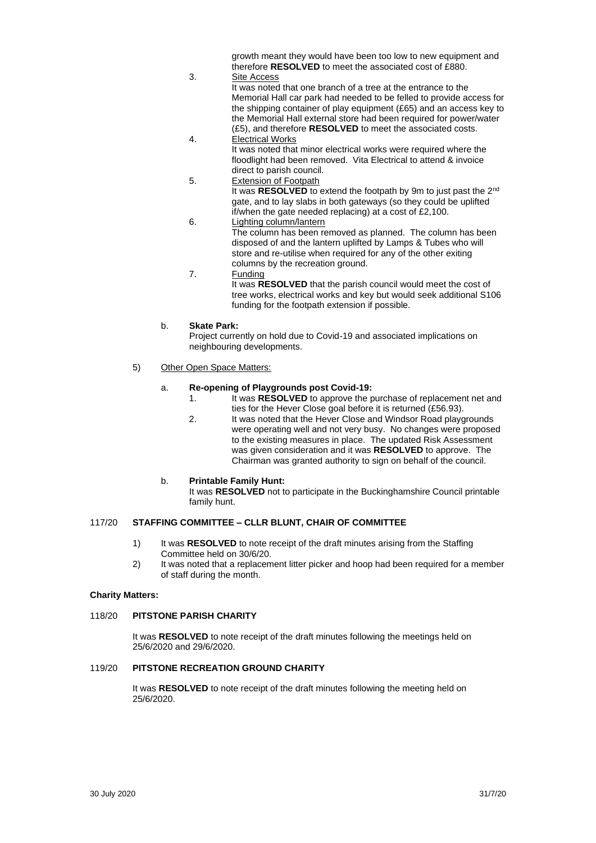growth meant they would have been too low to new equipment and therefore **RESOLVED** to meet the associated cost of £880.

### 3. Site Access

It was noted that one branch of a tree at the entrance to the Memorial Hall car park had needed to be felled to provide access for the shipping container of play equipment (£65) and an access key to the Memorial Hall external store had been required for power/water (£5), and therefore **RESOLVED** to meet the associated costs.

- 4. Electrical Works It was noted that minor electrical works were required where the floodlight had been removed. Vita Electrical to attend & invoice direct to parish council.
- 5. Extension of Footpath It was **RESOLVED** to extend the footpath by 9m to just past the 2<sup>nd</sup> gate, and to lay slabs in both gateways (so they could be uplifted if/when the gate needed replacing) at a cost of £2,100.
- 6. Lighting column/lantern The column has been removed as planned. The column has been disposed of and the lantern uplifted by Lamps & Tubes who will store and re-utilise when required for any of the other exiting columns by the recreation ground.
- 7. Funding
	- It was **RESOLVED** that the parish council would meet the cost of tree works, electrical works and key but would seek additional S106 funding for the footpath extension if possible.

# b. **Skate Park:**

Project currently on hold due to Covid-19 and associated implications on neighbouring developments.

## 5) Other Open Space Matters:

# a. **Re-opening of Playgrounds post Covid-19:**

- 1. It was **RESOLVED** to approve the purchase of replacement net and ties for the Hever Close goal before it is returned (£56.93).
- 2. It was noted that the Hever Close and Windsor Road playgrounds were operating well and not very busy. No changes were proposed to the existing measures in place. The updated Risk Assessment was given consideration and it was **RESOLVED** to approve. The Chairman was granted authority to sign on behalf of the council.

# b. **Printable Family Hunt:**

It was **RESOLVED** not to participate in the Buckinghamshire Council printable family hunt.

# 117/20 **STAFFING COMMITTEE – CLLR BLUNT, CHAIR OF COMMITTEE**

- 1) It was **RESOLVED** to note receipt of the draft minutes arising from the Staffing Committee held on 30/6/20.
- 2) It was noted that a replacement litter picker and hoop had been required for a member of staff during the month.

#### **Charity Matters:**

#### 118/20 **PITSTONE PARISH CHARITY**

It was **RESOLVED** to note receipt of the draft minutes following the meetings held on 25/6/2020 and 29/6/2020.

#### 119/20 **PITSTONE RECREATION GROUND CHARITY**

It was **RESOLVED** to note receipt of the draft minutes following the meeting held on 25/6/2020.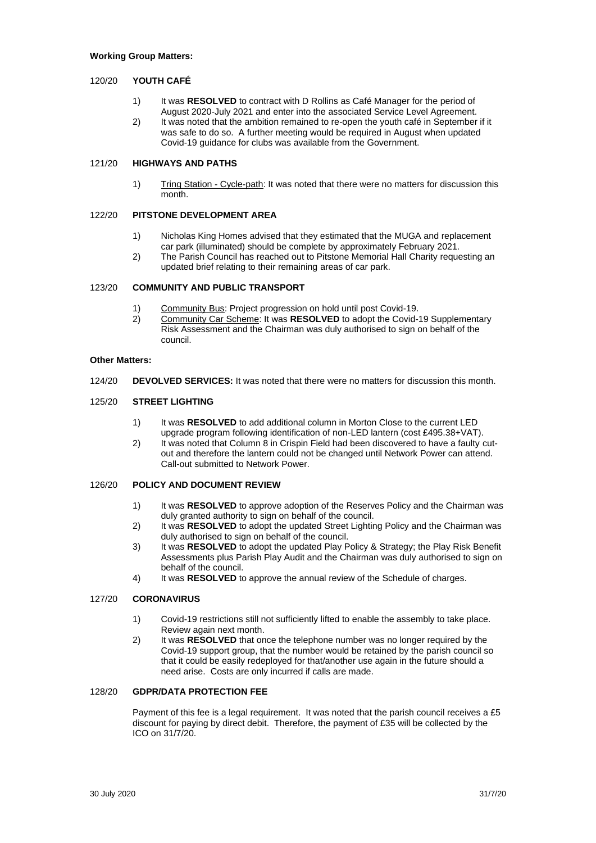#### **Working Group Matters:**

## 120/20 **YOUTH CAFÉ**

- 1) It was **RESOLVED** to contract with D Rollins as Café Manager for the period of August 2020-July 2021 and enter into the associated Service Level Agreement.
- 2) It was noted that the ambition remained to re-open the youth café in September if it was safe to do so. A further meeting would be required in August when updated Covid-19 guidance for clubs was available from the Government.

## 121/20 **HIGHWAYS AND PATHS**

1) Tring Station - Cycle-path: It was noted that there were no matters for discussion this month.

# 122/20 **PITSTONE DEVELOPMENT AREA**

- 1) Nicholas King Homes advised that they estimated that the MUGA and replacement car park (illuminated) should be complete by approximately February 2021.
- 2) The Parish Council has reached out to Pitstone Memorial Hall Charity requesting an updated brief relating to their remaining areas of car park.

#### 123/20 **COMMUNITY AND PUBLIC TRANSPORT**

- 1) Community Bus: Project progression on hold until post Covid-19.
- 2) Community Car Scheme: It was **RESOLVED** to adopt the Covid-19 Supplementary Risk Assessment and the Chairman was duly authorised to sign on behalf of the council.

#### **Other Matters:**

124/20 **DEVOLVED SERVICES:** It was noted that there were no matters for discussion this month.

#### 125/20 **STREET LIGHTING**

- 1) It was **RESOLVED** to add additional column in Morton Close to the current LED upgrade program following identification of non-LED lantern (cost £495.38+VAT).
- 2) It was noted that Column 8 in Crispin Field had been discovered to have a faulty cutout and therefore the lantern could not be changed until Network Power can attend. Call-out submitted to Network Power.

### 126/20 **POLICY AND DOCUMENT REVIEW**

- 1) It was **RESOLVED** to approve adoption of the Reserves Policy and the Chairman was duly granted authority to sign on behalf of the council.
- 2) It was **RESOLVED** to adopt the updated Street Lighting Policy and the Chairman was duly authorised to sign on behalf of the council.
- 3) It was **RESOLVED** to adopt the updated Play Policy & Strategy; the Play Risk Benefit Assessments plus Parish Play Audit and the Chairman was duly authorised to sign on behalf of the council.
- 4) It was **RESOLVED** to approve the annual review of the Schedule of charges.

#### 127/20 **CORONAVIRUS**

- 1) Covid-19 restrictions still not sufficiently lifted to enable the assembly to take place. Review again next month.
- 2) It was **RESOLVED** that once the telephone number was no longer required by the Covid-19 support group, that the number would be retained by the parish council so that it could be easily redeployed for that/another use again in the future should a need arise. Costs are only incurred if calls are made.

#### 128/20 **GDPR/DATA PROTECTION FEE**

Payment of this fee is a legal requirement. It was noted that the parish council receives a £5 discount for paying by direct debit. Therefore, the payment of £35 will be collected by the ICO on 31/7/20.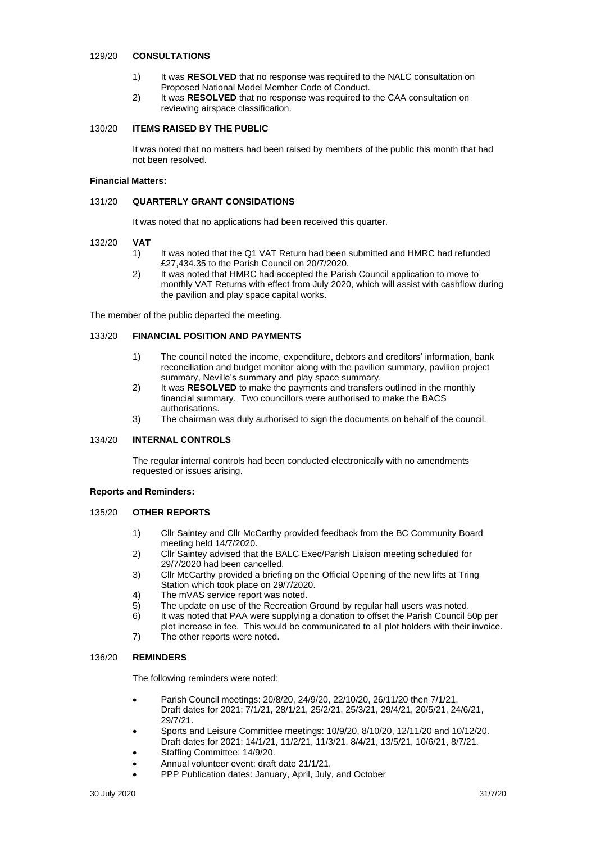#### 129/20 **CONSULTATIONS**

- 1) It was **RESOLVED** that no response was required to the NALC consultation on Proposed National Model Member Code of Conduct.
- 2) It was **RESOLVED** that no response was required to the CAA consultation on reviewing airspace classification.

### 130/20 **ITEMS RAISED BY THE PUBLIC**

It was noted that no matters had been raised by members of the public this month that had not been resolved.

#### **Financial Matters:**

#### 131/20 **QUARTERLY GRANT CONSIDATIONS**

It was noted that no applications had been received this quarter.

#### 132/20 **VAT**

- 1) It was noted that the Q1 VAT Return had been submitted and HMRC had refunded £27,434.35 to the Parish Council on 20/7/2020.
- 2) It was noted that HMRC had accepted the Parish Council application to move to monthly VAT Returns with effect from July 2020, which will assist with cashflow during the pavilion and play space capital works.

The member of the public departed the meeting.

#### 133/20 **FINANCIAL POSITION AND PAYMENTS**

- 1) The council noted the income, expenditure, debtors and creditors' information, bank reconciliation and budget monitor along with the pavilion summary, pavilion project summary, Neville's summary and play space summary.
- 2) It was **RESOLVED** to make the payments and transfers outlined in the monthly financial summary. Two councillors were authorised to make the BACS authorisations.
- 3) The chairman was duly authorised to sign the documents on behalf of the council.

#### 134/20 **INTERNAL CONTROLS**

The regular internal controls had been conducted electronically with no amendments requested or issues arising.

#### **Reports and Reminders:**

# 135/20 **OTHER REPORTS**

- 1) Cllr Saintey and Cllr McCarthy provided feedback from the BC Community Board meeting held 14/7/2020.
- 2) Cllr Saintey advised that the BALC Exec/Parish Liaison meeting scheduled for 29/7/2020 had been cancelled.
- 3) Cllr McCarthy provided a briefing on the Official Opening of the new lifts at Tring Station which took place on 29/7/2020.
- 4) The mVAS service report was noted.
- 5) The update on use of the Recreation Ground by regular hall users was noted.
- 6) It was noted that PAA were supplying a donation to offset the Parish Council 50p per plot increase in fee. This would be communicated to all plot holders with their invoice.
- 7) The other reports were noted.

#### 136/20 **REMINDERS**

The following reminders were noted:

- Parish Council meetings: 20/8/20, 24/9/20, 22/10/20, 26/11/20 then 7/1/21. Draft dates for 2021: 7/1/21, 28/1/21, 25/2/21, 25/3/21, 29/4/21, 20/5/21, 24/6/21, 29/7/21.
- Sports and Leisure Committee meetings: 10/9/20, 8/10/20, 12/11/20 and 10/12/20. Draft dates for 2021: 14/1/21, 11/2/21, 11/3/21, 8/4/21, 13/5/21, 10/6/21, 8/7/21.
- Staffing Committee: 14/9/20.
- Annual volunteer event: draft date 21/1/21.
- PPP Publication dates: January, April, July, and October